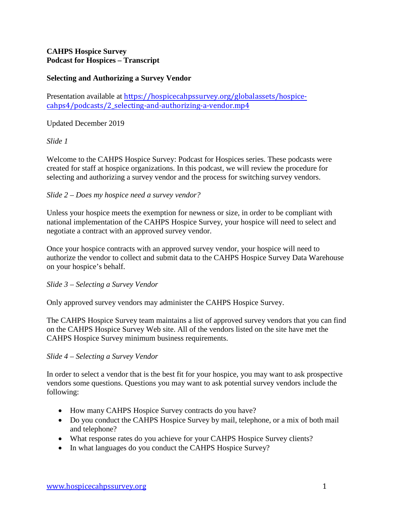# **CAHPS Hospice Survey Podcast for Hospices – Transcript**

# **Selecting and Authorizing a Survey Vendor**

Presentation available at [https://hospicecahpssurvey.org/globalassets/hospice](https://hospicecahpssurvey.org/globalassets/hospice-cahps/podcasts/2_selecting-and-authorizing-a-vendor.mp4)cahps4[/podcasts/2\\_selecting-and-authorizing-a-vendor.mp4](https://hospicecahpssurvey.org/globalassets/hospice-cahps/podcasts/2_selecting-and-authorizing-a-vendor.mp4)

## Updated December 2019

## *Slide 1*

Welcome to the CAHPS Hospice Survey: Podcast for Hospices series. These podcasts were created for staff at hospice organizations. In this podcast, we will review the procedure for selecting and authorizing a survey vendor and the process for switching survey vendors.

## *Slide 2 – Does my hospice need a survey vendor?*

Unless your hospice meets the exemption for newness or size, in order to be compliant with national implementation of the CAHPS Hospice Survey, your hospice will need to select and negotiate a contract with an approved survey vendor.

Once your hospice contracts with an approved survey vendor, your hospice will need to authorize the vendor to collect and submit data to the CAHPS Hospice Survey Data Warehouse on your hospice's behalf.

#### *Slide 3 – Selecting a Survey Vendor*

Only approved survey vendors may administer the CAHPS Hospice Survey.

The CAHPS Hospice Survey team maintains a list of approved survey vendors that you can find on the CAHPS Hospice Survey Web site. All of the vendors listed on the site have met the CAHPS Hospice Survey minimum business requirements.

#### *Slide 4 – Selecting a Survey Vendor*

In order to select a vendor that is the best fit for your hospice, you may want to ask prospective vendors some questions. Questions you may want to ask potential survey vendors include the following:

- How many CAHPS Hospice Survey contracts do you have?
- Do you conduct the CAHPS Hospice Survey by mail, telephone, or a mix of both mail and telephone?
- What response rates do you achieve for your CAHPS Hospice Survey clients?
- In what languages do you conduct the CAHPS Hospice Survey?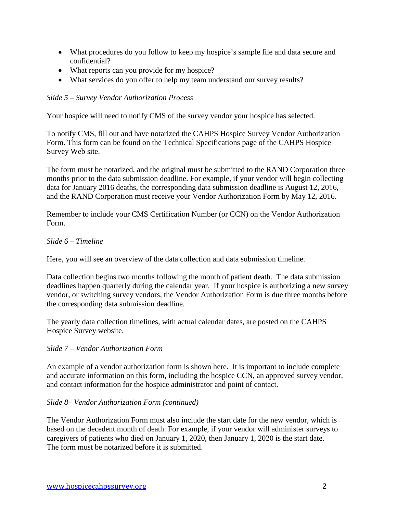- What procedures do you follow to keep my hospice's sample file and data secure and confidential?
- What reports can you provide for my hospice?
- What services do you offer to help my team understand our survey results?

# *Slide 5 – Survey Vendor Authorization Process*

Your hospice will need to notify CMS of the survey vendor your hospice has selected.

To notify CMS, fill out and have notarized the CAHPS Hospice Survey Vendor Authorization Form. This form can be found on the Technical Specifications page of the CAHPS Hospice Survey Web site.

The form must be notarized, and the original must be submitted to the RAND Corporation three months prior to the data submission deadline. For example, if your vendor will begin collecting data for January 2016 deaths, the corresponding data submission deadline is August 12, 2016, and the RAND Corporation must receive your Vendor Authorization Form by May 12, 2016.

Remember to include your CMS Certification Number (or CCN) on the Vendor Authorization Form.

## *Slide 6 – Timeline*

Here, you will see an overview of the data collection and data submission timeline.

Data collection begins two months following the month of patient death. The data submission deadlines happen quarterly during the calendar year. If your hospice is authorizing a new survey vendor, or switching survey vendors, the Vendor Authorization Form is due three months before the corresponding data submission deadline.

The yearly data collection timelines, with actual calendar dates, are posted on the CAHPS Hospice Survey website.

# *Slide 7 – Vendor Authorization Form*

An example of a vendor authorization form is shown here. It is important to include complete and accurate information on this form, including the hospice CCN, an approved survey vendor, and contact information for the hospice administrator and point of contact.

#### *Slide 8– Vendor Authorization Form (continued)*

The Vendor Authorization Form must also include the start date for the new vendor, which is based on the decedent month of death. For example, if your vendor will administer surveys to caregivers of patients who died on January 1, 2020, then January 1, 2020 is the start date. The form must be notarized before it is submitted.